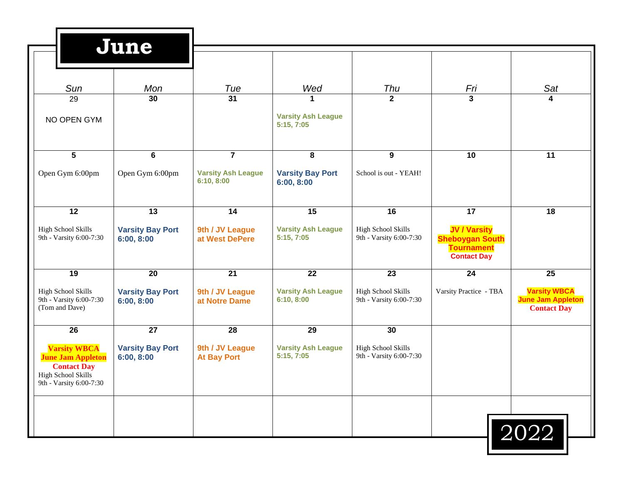|                                                                                                                               | June                                  |                                         |                                                         |                                                      |                                                                                          |                                                                       |
|-------------------------------------------------------------------------------------------------------------------------------|---------------------------------------|-----------------------------------------|---------------------------------------------------------|------------------------------------------------------|------------------------------------------------------------------------------------------|-----------------------------------------------------------------------|
| Sun                                                                                                                           | Mon                                   | Tue                                     | Wed                                                     | Thu                                                  | Fri                                                                                      | Sat                                                                   |
| 29<br>NO OPEN GYM                                                                                                             | 30                                    | $\overline{31}$                         | $\mathbf{1}$<br><b>Varsity Ash League</b><br>5:15, 7:05 | $\overline{2}$                                       | $\overline{\mathbf{3}}$                                                                  | 4                                                                     |
| 5                                                                                                                             | 6                                     | $\overline{7}$                          | 8                                                       | 9                                                    | 10                                                                                       | 11                                                                    |
| Open Gym 6:00pm                                                                                                               | Open Gym 6:00pm                       | <b>Varsity Ash League</b><br>6:10, 8:00 | <b>Varsity Bay Port</b><br>6:00, 8:00                   | School is out - YEAH!                                |                                                                                          |                                                                       |
| 12                                                                                                                            | 13                                    | 14                                      | 15                                                      | 16                                                   | 17                                                                                       | 18                                                                    |
| High School Skills<br>9th - Varsity 6:00-7:30                                                                                 | <b>Varsity Bay Port</b><br>6:00, 8:00 | 9th / JV League<br>at West DePere       | <b>Varsity Ash League</b><br>5:15, 7:05                 | High School Skills<br>9th - Varsity 6:00-7:30        | <b>JV / Varsity</b><br><b>Sheboygan South</b><br><b>Tournament</b><br><b>Contact Day</b> |                                                                       |
| 19                                                                                                                            | 20                                    | $\overline{21}$                         | 22                                                      | 23                                                   | 24                                                                                       | 25                                                                    |
| <b>High School Skills</b><br>9th - Varsity 6:00-7:30<br>(Tom and Dave)                                                        | <b>Varsity Bay Port</b><br>6:00, 8:00 | 9th / JV League<br>at Notre Dame        | <b>Varsity Ash League</b><br>6:10, 8:00                 | <b>High School Skills</b><br>9th - Varsity 6:00-7:30 | Varsity Practice - TBA                                                                   | <b>Varsity WBCA</b><br><b>June Jam Appleton</b><br><b>Contact Day</b> |
| 26                                                                                                                            | $\overline{27}$                       | 28                                      | 29                                                      | 30                                                   |                                                                                          |                                                                       |
| <b>Varsity WBCA</b><br><b>June Jam Appleton</b><br><b>Contact Day</b><br><b>High School Skills</b><br>9th - Varsity 6:00-7:30 | <b>Varsity Bay Port</b><br>6:00, 8:00 | 9th / JV League<br><b>At Bay Port</b>   | <b>Varsity Ash League</b><br>5:15, 7:05                 | <b>High School Skills</b><br>9th - Varsity 6:00-7:30 |                                                                                          |                                                                       |
|                                                                                                                               |                                       |                                         |                                                         |                                                      |                                                                                          |                                                                       |
|                                                                                                                               |                                       |                                         |                                                         |                                                      |                                                                                          | 2022                                                                  |